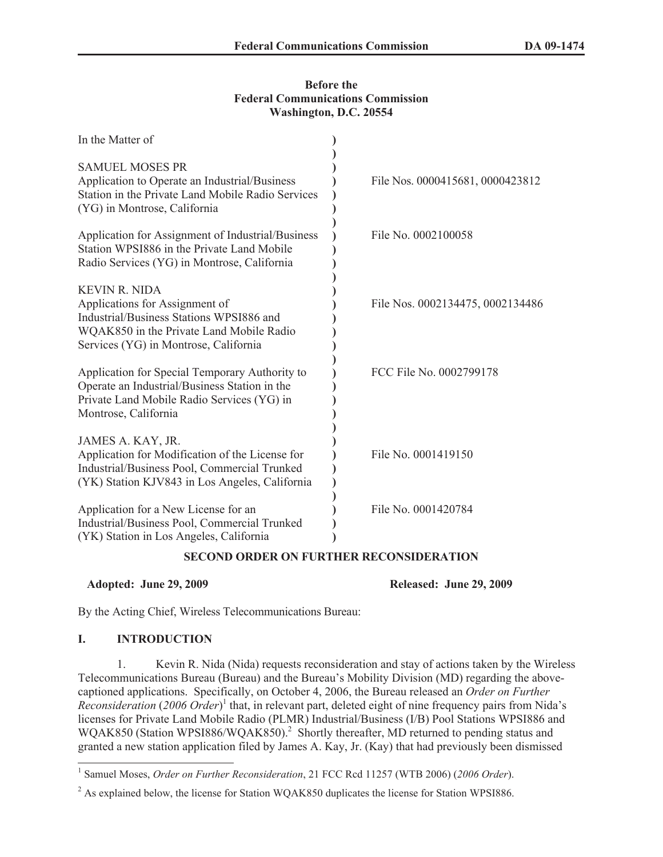### **Before the Federal Communications Commission Washington, D.C. 20554**

| In the Matter of                                                                                                                                                                        |                                  |
|-----------------------------------------------------------------------------------------------------------------------------------------------------------------------------------------|----------------------------------|
| <b>SAMUEL MOSES PR</b><br>Application to Operate an Industrial/Business<br>Station in the Private Land Mobile Radio Services<br>(YG) in Montrose, California                            | File Nos. 0000415681, 0000423812 |
| Application for Assignment of Industrial/Business<br>Station WPSI886 in the Private Land Mobile<br>Radio Services (YG) in Montrose, California                                          | File No. 0002100058              |
| <b>KEVIN R. NIDA</b><br>Applications for Assignment of<br>Industrial/Business Stations WPSI886 and<br>WQAK850 in the Private Land Mobile Radio<br>Services (YG) in Montrose, California | File Nos. 0002134475, 0002134486 |
| Application for Special Temporary Authority to<br>Operate an Industrial/Business Station in the<br>Private Land Mobile Radio Services (YG) in<br>Montrose, California                   | FCC File No. 0002799178          |
| JAMES A. KAY, JR.<br>Application for Modification of the License for<br>Industrial/Business Pool, Commercial Trunked<br>(YK) Station KJV843 in Los Angeles, California                  | File No. 0001419150              |
| Application for a New License for an<br>Industrial/Business Pool, Commercial Trunked<br>(YK) Station in Los Angeles, California                                                         | File No. 0001420784              |

## **SECOND ORDER ON FURTHER RECONSIDERATION**

### **Adopted: June 29, 2009 Released: June 29, 2009**

By the Acting Chief, Wireless Telecommunications Bureau:

### **I. INTRODUCTION**

1. Kevin R. Nida (Nida) requests reconsideration and stay of actions taken by the Wireless Telecommunications Bureau (Bureau) and the Bureau's Mobility Division (MD) regarding the abovecaptioned applications. Specifically, on October 4, 2006, the Bureau released an *Order on Further Reconsideration* (*2006 Order*) 1 that, in relevant part, deleted eight of nine frequency pairs from Nida's licenses for Private Land Mobile Radio (PLMR) Industrial/Business (I/B) Pool Stations WPSI886 and WQAK850 (Station WPSI886/WQAK850).<sup>2</sup> Shortly thereafter, MD returned to pending status and granted a new station application filed by James A. Kay, Jr. (Kay) that had previously been dismissed

<sup>1</sup> Samuel Moses, *Order on Further Reconsideration*, 21 FCC Rcd 11257 (WTB 2006) (*2006 Order*).

<sup>&</sup>lt;sup>2</sup> As explained below, the license for Station WOAK850 duplicates the license for Station WPSI886.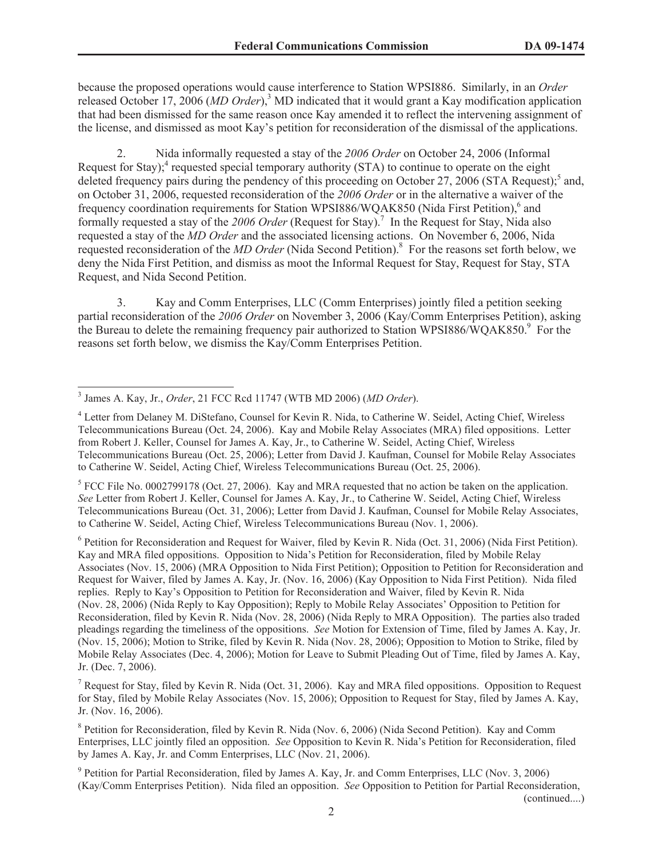because the proposed operations would cause interference to Station WPSI886. Similarly, in an *Order* released October 17, 2006 (*MD Order*),<sup>3</sup> MD indicated that it would grant a Kay modification application that had been dismissed for the same reason once Kay amended it to reflect the intervening assignment of the license, and dismissed as moot Kay's petition for reconsideration of the dismissal of the applications.

2. Nida informally requested a stay of the *2006 Order* on October 24, 2006 (Informal Request for Stay);<sup>4</sup> requested special temporary authority (STA) to continue to operate on the eight deleted frequency pairs during the pendency of this proceeding on October 27, 2006 (STA Request);<sup>5</sup> and, on October 31, 2006, requested reconsideration of the *2006 Order* or in the alternative a waiver of the frequency coordination requirements for Station WPSI886/WQAK850 (Nida First Petition),<sup>6</sup> and formally requested a stay of the 2006 Order (Request for Stay).<sup>7</sup> In the Request for Stay, Nida also requested a stay of the *MD Order* and the associated licensing actions. On November 6, 2006, Nida requested reconsideration of the *MD Order* (Nida Second Petition).<sup>8</sup> For the reasons set forth below, we deny the Nida First Petition, and dismiss as moot the Informal Request for Stay, Request for Stay, STA Request, and Nida Second Petition.

3. Kay and Comm Enterprises, LLC (Comm Enterprises) jointly filed a petition seeking partial reconsideration of the *2006 Order* on November 3, 2006 (Kay/Comm Enterprises Petition), asking the Bureau to delete the remaining frequency pair authorized to Station WPSI886/WQAK850.<sup>9</sup> For the reasons set forth below, we dismiss the Kay/Comm Enterprises Petition.

 $<sup>5</sup>$  FCC File No. 0002799178 (Oct. 27, 2006). Kay and MRA requested that no action be taken on the application.</sup> *See* Letter from Robert J. Keller, Counsel for James A. Kay, Jr., to Catherine W. Seidel, Acting Chief, Wireless Telecommunications Bureau (Oct. 31, 2006); Letter from David J. Kaufman, Counsel for Mobile Relay Associates, to Catherine W. Seidel, Acting Chief, Wireless Telecommunications Bureau (Nov. 1, 2006).

<sup>6</sup> Petition for Reconsideration and Request for Waiver, filed by Kevin R. Nida (Oct. 31, 2006) (Nida First Petition). Kay and MRA filed oppositions. Opposition to Nida's Petition for Reconsideration, filed by Mobile Relay Associates (Nov. 15, 2006) (MRA Opposition to Nida First Petition); Opposition to Petition for Reconsideration and Request for Waiver, filed by James A. Kay, Jr. (Nov. 16, 2006) (Kay Opposition to Nida First Petition). Nida filed replies. Reply to Kay's Opposition to Petition for Reconsideration and Waiver, filed by Kevin R. Nida (Nov. 28, 2006) (Nida Reply to Kay Opposition); Reply to Mobile Relay Associates' Opposition to Petition for Reconsideration, filed by Kevin R. Nida (Nov. 28, 2006) (Nida Reply to MRA Opposition). The parties also traded pleadings regarding the timeliness of the oppositions. *See* Motion for Extension of Time, filed by James A. Kay, Jr. (Nov. 15, 2006); Motion to Strike, filed by Kevin R. Nida (Nov. 28, 2006); Opposition to Motion to Strike, filed by Mobile Relay Associates (Dec. 4, 2006); Motion for Leave to Submit Pleading Out of Time, filed by James A. Kay, Jr. (Dec. 7, 2006).

<sup>7</sup> Request for Stay, filed by Kevin R. Nida (Oct. 31, 2006). Kay and MRA filed oppositions. Opposition to Request for Stay, filed by Mobile Relay Associates (Nov. 15, 2006); Opposition to Request for Stay, filed by James A. Kay, Jr. (Nov. 16, 2006).

<sup>8</sup> Petition for Reconsideration, filed by Kevin R. Nida (Nov. 6, 2006) (Nida Second Petition). Kay and Comm Enterprises, LLC jointly filed an opposition. *See* Opposition to Kevin R. Nida's Petition for Reconsideration, filed by James A. Kay, Jr. and Comm Enterprises, LLC (Nov. 21, 2006).

<sup>9</sup> Petition for Partial Reconsideration, filed by James A. Kay, Jr. and Comm Enterprises, LLC (Nov. 3, 2006) (Kay/Comm Enterprises Petition). Nida filed an opposition. *See* Opposition to Petition for Partial Reconsideration,

(continued....)

<sup>3</sup> James A. Kay, Jr., *Order*, 21 FCC Rcd 11747 (WTB MD 2006) (*MD Order*).

<sup>4</sup> Letter from Delaney M. DiStefano, Counsel for Kevin R. Nida, to Catherine W. Seidel, Acting Chief, Wireless Telecommunications Bureau (Oct. 24, 2006). Kay and Mobile Relay Associates (MRA) filed oppositions. Letter from Robert J. Keller, Counsel for James A. Kay, Jr., to Catherine W. Seidel, Acting Chief, Wireless Telecommunications Bureau (Oct. 25, 2006); Letter from David J. Kaufman, Counsel for Mobile Relay Associates to Catherine W. Seidel, Acting Chief, Wireless Telecommunications Bureau (Oct. 25, 2006).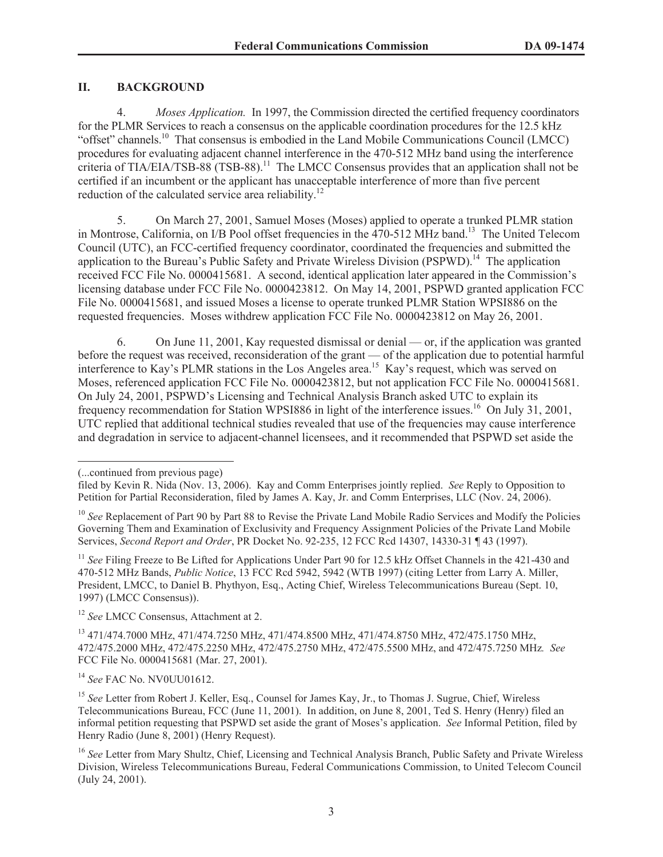## **II. BACKGROUND**

4. *Moses Application.* In 1997, the Commission directed the certified frequency coordinators for the PLMR Services to reach a consensus on the applicable coordination procedures for the 12.5 kHz "offset" channels.<sup>10</sup> That consensus is embodied in the Land Mobile Communications Council (LMCC) procedures for evaluating adjacent channel interference in the 470-512 MHz band using the interference criteria of TIA/EIA/TSB-88 (TSB-88). <sup>11</sup> The LMCC Consensus provides that an application shall not be certified if an incumbent or the applicant has unacceptable interference of more than five percent reduction of the calculated service area reliability.<sup>12</sup>

5. On March 27, 2001, Samuel Moses (Moses) applied to operate a trunked PLMR station in Montrose, California, on I/B Pool offset frequencies in the 470-512 MHz band.<sup>13</sup> The United Telecom Council (UTC), an FCC-certified frequency coordinator, coordinated the frequencies and submitted the application to the Bureau's Public Safety and Private Wireless Division (PSPWD).<sup>14</sup> The application received FCC File No. 0000415681. A second, identical application later appeared in the Commission's licensing database under FCC File No. 0000423812. On May 14, 2001, PSPWD granted application FCC File No. 0000415681, and issued Moses a license to operate trunked PLMR Station WPSI886 on the requested frequencies. Moses withdrew application FCC File No. 0000423812 on May 26, 2001.

6. On June 11, 2001, Kay requested dismissal or denial — or, if the application was granted before the request was received, reconsideration of the grant — of the application due to potential harmful interference to Kay's PLMR stations in the Los Angeles area.<sup>15</sup> Kay's request, which was served on Moses, referenced application FCC File No. 0000423812, but not application FCC File No. 0000415681. On July 24, 2001, PSPWD's Licensing and Technical Analysis Branch asked UTC to explain its frequency recommendation for Station WPSI886 in light of the interference issues.<sup>16</sup> On July 31, 2001, UTC replied that additional technical studies revealed that use of the frequencies may cause interference and degradation in service to adjacent-channel licensees, and it recommended that PSPWD set aside the

<sup>11</sup> *See* Filing Freeze to Be Lifted for Applications Under Part 90 for 12.5 kHz Offset Channels in the 421-430 and 470-512 MHz Bands, *Public Notice*, 13 FCC Rcd 5942, 5942 (WTB 1997) (citing Letter from Larry A. Miller, President, LMCC, to Daniel B. Phythyon, Esq., Acting Chief, Wireless Telecommunications Bureau (Sept. 10, 1997) (LMCC Consensus)).

<sup>12</sup> *See* LMCC Consensus, Attachment at 2.

<sup>13</sup> 471/474.7000 MHz, 471/474.7250 MHz, 471/474.8500 MHz, 471/474.8750 MHz, 472/475.1750 MHz, 472/475.2000 MHz, 472/475.2250 MHz, 472/475.2750 MHz, 472/475.5500 MHz, and 472/475.7250 MHz*. See* FCC File No. 0000415681 (Mar. 27, 2001).

<sup>14</sup> *See* FAC No. NV0UU01612.

<sup>15</sup> See Letter from Robert J. Keller, Esq., Counsel for James Kay, Jr., to Thomas J. Sugrue, Chief, Wireless Telecommunications Bureau, FCC (June 11, 2001). In addition, on June 8, 2001, Ted S. Henry (Henry) filed an informal petition requesting that PSPWD set aside the grant of Moses's application. *See* Informal Petition, filed by Henry Radio (June 8, 2001) (Henry Request).

<sup>(...</sup>continued from previous page)

filed by Kevin R. Nida (Nov. 13, 2006). Kay and Comm Enterprises jointly replied. *See* Reply to Opposition to Petition for Partial Reconsideration, filed by James A. Kay, Jr. and Comm Enterprises, LLC (Nov. 24, 2006).

<sup>&</sup>lt;sup>10</sup> See Replacement of Part 90 by Part 88 to Revise the Private Land Mobile Radio Services and Modify the Policies Governing Them and Examination of Exclusivity and Frequency Assignment Policies of the Private Land Mobile Services, *Second Report and Order*, PR Docket No. 92-235, 12 FCC Rcd 14307, 14330-31 ¶ 43 (1997).

<sup>16</sup> *See* Letter from Mary Shultz, Chief, Licensing and Technical Analysis Branch, Public Safety and Private Wireless Division, Wireless Telecommunications Bureau, Federal Communications Commission, to United Telecom Council (July 24, 2001).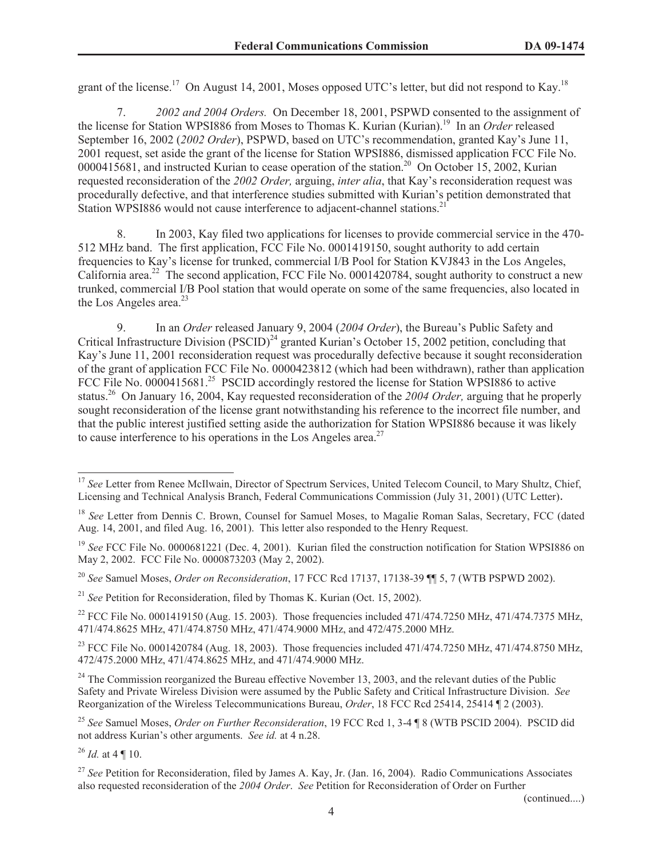grant of the license.<sup>17</sup> On August 14, 2001, Moses opposed UTC's letter, but did not respond to Kay.<sup>18</sup>

7. *2002 and 2004 Orders.* On December 18, 2001, PSPWD consented to the assignment of the license for Station WPSI886 from Moses to Thomas K. Kurian (Kurian).<sup>19</sup> In an *Order* released September 16, 2002 (*2002 Order*), PSPWD, based on UTC's recommendation, granted Kay's June 11, 2001 request, set aside the grant of the license for Station WPSI886, dismissed application FCC File No. 0000415681, and instructed Kurian to cease operation of the station.<sup>20</sup> On October 15, 2002, Kurian requested reconsideration of the *2002 Order,* arguing, *inter alia*, that Kay's reconsideration request was procedurally defective, and that interference studies submitted with Kurian's petition demonstrated that Station WPSI886 would not cause interference to adjacent-channel stations.<sup>2</sup>

8. In 2003, Kay filed two applications for licenses to provide commercial service in the 470- 512 MHz band. The first application, FCC File No. 0001419150, sought authority to add certain frequencies to Kay's license for trunked, commercial I/B Pool for Station KVJ843 in the Los Angeles, California area.<sup>22</sup> The second application, FCC File No. 0001420784, sought authority to construct a new trunked, commercial I/B Pool station that would operate on some of the same frequencies, also located in the Los Angeles area. $^{23}$ 

9. In an *Order* released January 9, 2004 (*2004 Order*), the Bureau's Public Safety and Critical Infrastructure Division (PSCID)<sup>24</sup> granted Kurian's October 15, 2002 petition, concluding that Kay's June 11, 2001 reconsideration request was procedurally defective because it sought reconsideration of the grant of application FCC File No. 0000423812 (which had been withdrawn), rather than application FCC File No. 0000415681.<sup>25</sup> PSCID accordingly restored the license for Station WPSI886 to active status.<sup>26</sup> On January 16, 2004, Kay requested reconsideration of the *2004 Order,* arguing that he properly sought reconsideration of the license grant notwithstanding his reference to the incorrect file number, and that the public interest justified setting aside the authorization for Station WPSI886 because it was likely to cause interference to his operations in the Los Angeles area.<sup>27</sup>

<sup>26</sup> *Id.* at 4 ¶ 10.

(continued....)

<sup>&</sup>lt;sup>17</sup> See Letter from Renee McIlwain, Director of Spectrum Services, United Telecom Council, to Mary Shultz, Chief, Licensing and Technical Analysis Branch, Federal Communications Commission (July 31, 2001) (UTC Letter).

<sup>&</sup>lt;sup>18</sup> *See* Letter from Dennis C. Brown, Counsel for Samuel Moses, to Magalie Roman Salas, Secretary, FCC (dated Aug. 14, 2001, and filed Aug. 16, 2001). This letter also responded to the Henry Request.

<sup>&</sup>lt;sup>19</sup> See FCC File No. 0000681221 (Dec. 4, 2001). Kurian filed the construction notification for Station WPSI886 on May 2, 2002. FCC File No. 0000873203 (May 2, 2002).

<sup>20</sup> *See* Samuel Moses, *Order on Reconsideration*, 17 FCC Rcd 17137, 17138-39 ¶¶ 5, 7 (WTB PSPWD 2002).

<sup>21</sup> *See* Petition for Reconsideration, filed by Thomas K. Kurian (Oct. 15, 2002).

<sup>&</sup>lt;sup>22</sup> FCC File No. 0001419150 (Aug. 15. 2003). Those frequencies included 471/474.7250 MHz, 471/474.7375 MHz, 471/474.8625 MHz, 471/474.8750 MHz, 471/474.9000 MHz, and 472/475.2000 MHz.

<sup>&</sup>lt;sup>23</sup> FCC File No. 0001420784 (Aug. 18, 2003). Those frequencies included 471/474.7250 MHz, 471/474.8750 MHz, 472/475.2000 MHz, 471/474.8625 MHz, and 471/474.9000 MHz.

 $^{24}$  The Commission reorganized the Bureau effective November 13, 2003, and the relevant duties of the Public Safety and Private Wireless Division were assumed by the Public Safety and Critical Infrastructure Division. *See* Reorganization of the Wireless Telecommunications Bureau, *Order*, 18 FCC Rcd 25414, 25414 ¶ 2 (2003).

<sup>25</sup> *See* Samuel Moses, *Order on Further Reconsideration*, 19 FCC Rcd 1, 3-4 ¶ 8 (WTB PSCID 2004). PSCID did not address Kurian's other arguments. *See id.* at 4 n.28.

<sup>&</sup>lt;sup>27</sup> See Petition for Reconsideration, filed by James A. Kay, Jr. (Jan. 16, 2004). Radio Communications Associates also requested reconsideration of the *2004 Order*. *See* Petition for Reconsideration of Order on Further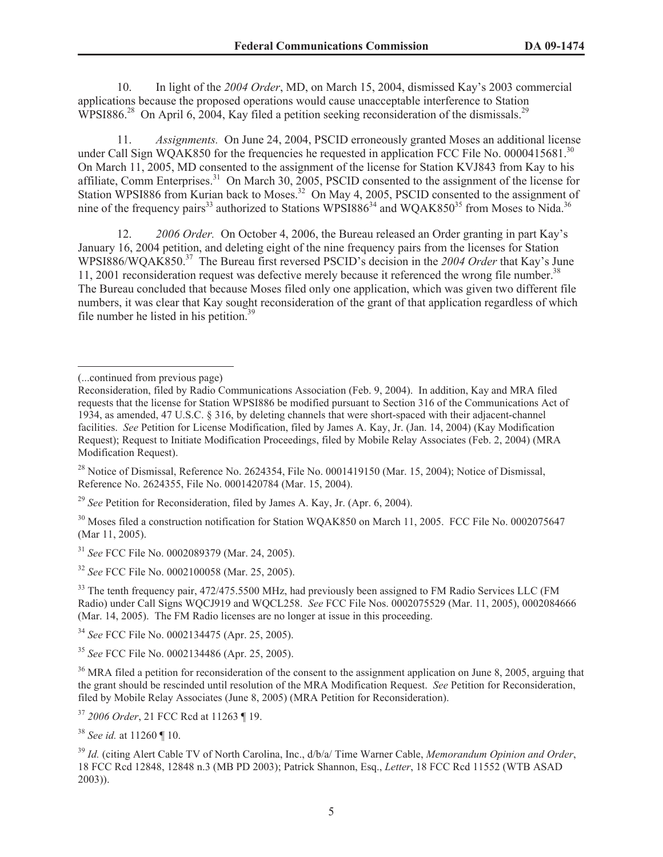10. In light of the *2004 Order*, MD, on March 15, 2004, dismissed Kay's 2003 commercial applications because the proposed operations would cause unacceptable interference to Station WPSI886.<sup>28</sup> On April 6, 2004, Kay filed a petition seeking reconsideration of the dismissals.<sup>29</sup>

11. *Assignments.* On June 24, 2004, PSCID erroneously granted Moses an additional license under Call Sign WQAK850 for the frequencies he requested in application FCC File No. 0000415681.<sup>30</sup> On March 11, 2005, MD consented to the assignment of the license for Station KVJ843 from Kay to his affiliate, Comm Enterprises.<sup>31</sup> On March 30, 2005, PSCID consented to the assignment of the license for Station WPSI886 from Kurian back to Moses.<sup>32</sup> On May 4, 2005, PSCID consented to the assignment of nine of the frequency pairs<sup>33</sup> authorized to Stations WPSI886<sup>34</sup> and WQAK850<sup>35</sup> from Moses to Nida.<sup>36</sup>

12. *2006 Order.* On October 4, 2006, the Bureau released an Order granting in part Kay's January 16, 2004 petition, and deleting eight of the nine frequency pairs from the licenses for Station WPSI886/WQAK850.<sup>37</sup> The Bureau first reversed PSCID's decision in the *2004 Order* that Kay's June 11, 2001 reconsideration request was defective merely because it referenced the wrong file number.<sup>38</sup> The Bureau concluded that because Moses filed only one application, which was given two different file numbers, it was clear that Kay sought reconsideration of the grant of that application regardless of which file number he listed in his petition.<sup>39</sup>

<sup>29</sup> *See* Petition for Reconsideration, filed by James A. Kay, Jr. (Apr. 6, 2004).

<sup>30</sup> Moses filed a construction notification for Station WOAK850 on March 11, 2005. FCC File No. 0002075647 (Mar 11, 2005).

<sup>31</sup> *See* FCC File No. 0002089379 (Mar. 24, 2005).

<sup>32</sup> *See* FCC File No. 0002100058 (Mar. 25, 2005).

<sup>33</sup> The tenth frequency pair, 472/475.5500 MHz, had previously been assigned to FM Radio Services LLC (FM Radio) under Call Signs WQCJ919 and WQCL258. *See* FCC File Nos. 0002075529 (Mar. 11, 2005), 0002084666 (Mar. 14, 2005). The FM Radio licenses are no longer at issue in this proceeding.

<sup>34</sup> *See* FCC File No. 0002134475 (Apr. 25, 2005).

<sup>(...</sup>continued from previous page)

Reconsideration, filed by Radio Communications Association (Feb. 9, 2004). In addition, Kay and MRA filed requests that the license for Station WPSI886 be modified pursuant to Section 316 of the Communications Act of 1934, as amended, 47 U.S.C. § 316, by deleting channels that were short-spaced with their adjacent-channel facilities. *See* Petition for License Modification, filed by James A. Kay, Jr. (Jan. 14, 2004) (Kay Modification Request); Request to Initiate Modification Proceedings, filed by Mobile Relay Associates (Feb. 2, 2004) (MRA Modification Request).

 $^{28}$  Notice of Dismissal, Reference No. 2624354, File No. 0001419150 (Mar. 15, 2004); Notice of Dismissal, Reference No. 2624355, File No. 0001420784 (Mar. 15, 2004).

<sup>35</sup> *See* FCC File No. 0002134486 (Apr. 25, 2005).

<sup>&</sup>lt;sup>36</sup> MRA filed a petition for reconsideration of the consent to the assignment application on June 8, 2005, arguing that the grant should be rescinded until resolution of the MRA Modification Request. *See* Petition for Reconsideration, filed by Mobile Relay Associates (June 8, 2005) (MRA Petition for Reconsideration).

<sup>37</sup> *2006 Order*, 21 FCC Rcd at 11263 ¶ 19.

<sup>38</sup> *See id.* at 11260 ¶ 10.

<sup>39</sup> *Id.* (citing Alert Cable TV of North Carolina, Inc., d/b/a/ Time Warner Cable, *Memorandum Opinion and Order*, 18 FCC Rcd 12848, 12848 n.3 (MB PD 2003); Patrick Shannon, Esq., *Letter*, 18 FCC Rcd 11552 (WTB ASAD 2003)).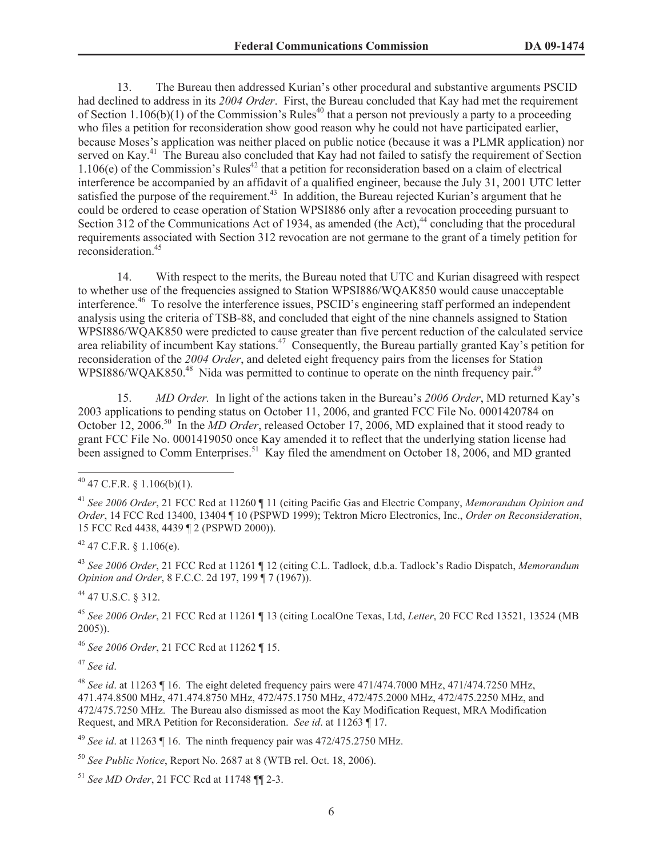13. The Bureau then addressed Kurian's other procedural and substantive arguments PSCID had declined to address in its *2004 Order*. First, the Bureau concluded that Kay had met the requirement of Section 1.106(b)(1) of the Commission's Rules<sup>40</sup> that a person not previously a party to a proceeding who files a petition for reconsideration show good reason why he could not have participated earlier, because Moses's application was neither placed on public notice (because it was a PLMR application) nor served on Kay.<sup>41</sup> The Bureau also concluded that Kay had not failed to satisfy the requirement of Section  $1.106(e)$  of the Commission's Rules<sup>42</sup> that a petition for reconsideration based on a claim of electrical interference be accompanied by an affidavit of a qualified engineer, because the July 31, 2001 UTC letter satisfied the purpose of the requirement.<sup>43</sup> In addition, the Bureau rejected Kurian's argument that he could be ordered to cease operation of Station WPSI886 only after a revocation proceeding pursuant to Section 312 of the Communications Act of 1934, as amended (the Act), $44$  concluding that the procedural requirements associated with Section 312 revocation are not germane to the grant of a timely petition for reconsideration.<sup>45</sup>

14. With respect to the merits, the Bureau noted that UTC and Kurian disagreed with respect to whether use of the frequencies assigned to Station WPSI886/WQAK850 would cause unacceptable interference.<sup>46</sup> To resolve the interference issues, PSCID's engineering staff performed an independent analysis using the criteria of TSB-88, and concluded that eight of the nine channels assigned to Station WPSI886/WQAK850 were predicted to cause greater than five percent reduction of the calculated service area reliability of incumbent Kay stations.<sup>47</sup> Consequently, the Bureau partially granted Kay's petition for reconsideration of the *2004 Order*, and deleted eight frequency pairs from the licenses for Station WPSI886/WQAK850.<sup>48</sup> Nida was permitted to continue to operate on the ninth frequency pair.<sup>49</sup>

15. *MD Order.* In light of the actions taken in the Bureau's *2006 Order*, MD returned Kay's 2003 applications to pending status on October 11, 2006, and granted FCC File No. 0001420784 on October 12, 2006.<sup>50</sup> In the *MD Order*, released October 17, 2006, MD explained that it stood ready to grant FCC File No. 0001419050 once Kay amended it to reflect that the underlying station license had been assigned to Comm Enterprises.<sup>51</sup> Kay filed the amendment on October 18, 2006, and MD granted

 $42$  47 C.F.R. § 1.106(e).

<sup>43</sup> *See 2006 Order*, 21 FCC Rcd at 11261 ¶ 12 (citing C.L. Tadlock, d.b.a. Tadlock's Radio Dispatch, *Memorandum Opinion and Order*, 8 F.C.C. 2d 197, 199 ¶ 7 (1967)).

<sup>44</sup> 47 U.S.C. § 312.

<sup>45</sup> *See 2006 Order*, 21 FCC Rcd at 11261 ¶ 13 (citing LocalOne Texas, Ltd, *Letter*, 20 FCC Rcd 13521, 13524 (MB 2005)).

<sup>46</sup> *See 2006 Order*, 21 FCC Rcd at 11262 ¶ 15.

<sup>47</sup> *See id*.

<sup>48</sup> *See id*. at 11263 ¶ 16. The eight deleted frequency pairs were 471/474.7000 MHz, 471/474.7250 MHz, 471.474.8500 MHz, 471.474.8750 MHz, 472/475.1750 MHz, 472/475.2000 MHz, 472/475.2250 MHz, and 472/475.7250 MHz. The Bureau also dismissed as moot the Kay Modification Request, MRA Modification Request, and MRA Petition for Reconsideration. *See id*. at 11263 ¶ 17.

<sup>49</sup> *See id.* at 11263  $\P$  16. The ninth frequency pair was 472/475.2750 MHz.

<sup>50</sup> *See Public Notice*, Report No. 2687 at 8 (WTB rel. Oct. 18, 2006).

<sup>51</sup> *See MD Order*, 21 FCC Rcd at 11748 ¶¶ 2-3.

 $40$  47 C.F.R. § 1.106(b)(1).

<sup>41</sup> *See 2006 Order*, 21 FCC Rcd at 11260 ¶ 11 (citing Pacific Gas and Electric Company, *Memorandum Opinion and Order*, 14 FCC Rcd 13400, 13404 ¶ 10 (PSPWD 1999); Tektron Micro Electronics, Inc., *Order on Reconsideration*, 15 FCC Rcd 4438, 4439 ¶ 2 (PSPWD 2000)).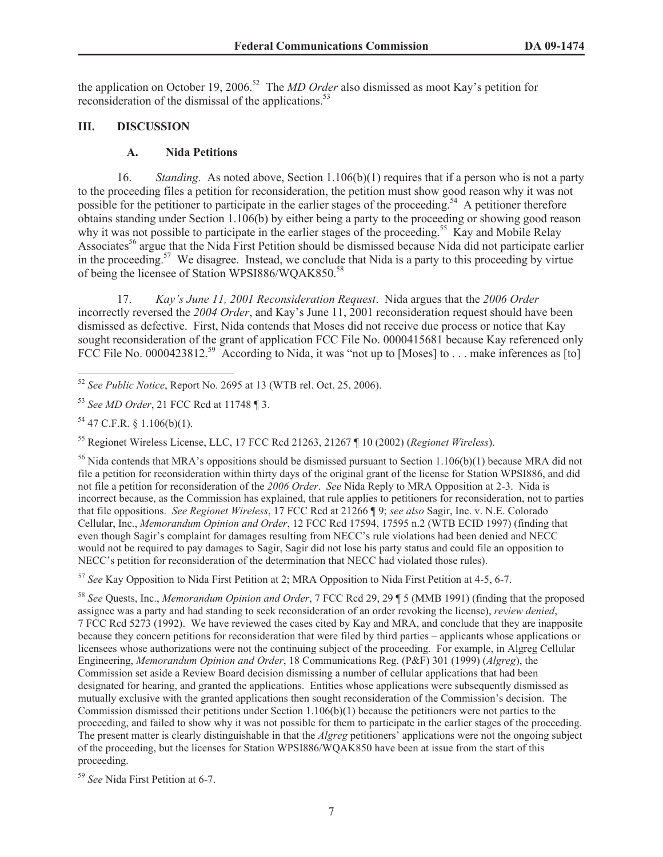the application on October 19, 2006.<sup>52</sup> The *MD Order* also dismissed as moot Kay's petition for reconsideration of the dismissal of the applications.<sup>53</sup>

#### **III. DISCUSSION**

#### **A. Nida Petitions**

16. *Standing.* As noted above, Section 1.106(b)(1) requires that if a person who is not a party to the proceeding files a petition for reconsideration, the petition must show good reason why it was not possible for the petitioner to participate in the earlier stages of the proceeding.<sup>54</sup> A petitioner therefore obtains standing under Section 1.106(b) by either being a party to the proceeding or showing good reason why it was not possible to participate in the earlier stages of the proceeding.<sup>55</sup> Kay and Mobile Relay Associates<sup>56</sup> argue that the Nida First Petition should be dismissed because Nida did not participate earlier in the proceeding.<sup>57</sup> We disagree. Instead, we conclude that Nida is a party to this proceeding by virtue of being the licensee of Station WPSI886/WQAK850.<sup>58</sup>

17. *Kay's June 11, 2001 Reconsideration Request*. Nida argues that the *2006 Order*  incorrectly reversed the *2004 Order*, and Kay's June 11, 2001 reconsideration request should have been dismissed as defective. First, Nida contends that Moses did not receive due process or notice that Kay sought reconsideration of the grant of application FCC File No. 0000415681 because Kay referenced only FCC File No. 0000423812.<sup>59</sup> According to Nida, it was "not up to [Moses] to . . . make inferences as [to]

<sup>55</sup> Regionet Wireless License, LLC, 17 FCC Rcd 21263, 21267 ¶ 10 (2002) (*Regionet Wireless*).

<sup>56</sup> Nida contends that MRA's oppositions should be dismissed pursuant to Section 1.106(b)(1) because MRA did not file a petition for reconsideration within thirty days of the original grant of the license for Station WPSI886, and did not file a petition for reconsideration of the *2006 Order*. *See* Nida Reply to MRA Opposition at 2-3. Nida is incorrect because, as the Commission has explained, that rule applies to petitioners for reconsideration, not to parties that file oppositions. *See Regionet Wireless*, 17 FCC Rcd at 21266 ¶ 9; *see also* Sagir, Inc. v. N.E. Colorado Cellular, Inc., *Memorandum Opinion and Order*, 12 FCC Rcd 17594, 17595 n.2 (WTB ECID 1997) (finding that even though Sagir's complaint for damages resulting from NECC's rule violations had been denied and NECC would not be required to pay damages to Sagir, Sagir did not lose his party status and could file an opposition to NECC's petition for reconsideration of the determination that NECC had violated those rules).

<sup>57</sup> *See* Kay Opposition to Nida First Petition at 2; MRA Opposition to Nida First Petition at 4-5, 6-7.

<sup>58</sup> *See* Quests, Inc., *Memorandum Opinion and Order*, 7 FCC Rcd 29, 29 ¶ 5 (MMB 1991) (finding that the proposed assignee was a party and had standing to seek reconsideration of an order revoking the license), *review denied*, 7 FCC Rcd 5273 (1992). We have reviewed the cases cited by Kay and MRA, and conclude that they are inapposite because they concern petitions for reconsideration that were filed by third parties – applicants whose applications or licensees whose authorizations were not the continuing subject of the proceeding. For example, in Algreg Cellular Engineering, *Memorandum Opinion and Order*, 18 Communications Reg. (P&F) 301 (1999) (*Algreg*), the Commission set aside a Review Board decision dismissing a number of cellular applications that had been designated for hearing, and granted the applications. Entities whose applications were subsequently dismissed as mutually exclusive with the granted applications then sought reconsideration of the Commission's decision. The Commission dismissed their petitions under Section 1.106(b)(1) because the petitioners were not parties to the proceeding, and failed to show why it was not possible for them to participate in the earlier stages of the proceeding. The present matter is clearly distinguishable in that the *Algreg* petitioners' applications were not the ongoing subject of the proceeding, but the licenses for Station WPSI886/WQAK850 have been at issue from the start of this proceeding.

<sup>59</sup> *See* Nida First Petition at 6-7.

<sup>52</sup> *See Public Notice*, Report No. 2695 at 13 (WTB rel. Oct. 25, 2006).

<sup>53</sup> *See MD Order*, 21 FCC Rcd at 11748 ¶ 3.

 $54$  47 C.F.R. § 1.106(b)(1).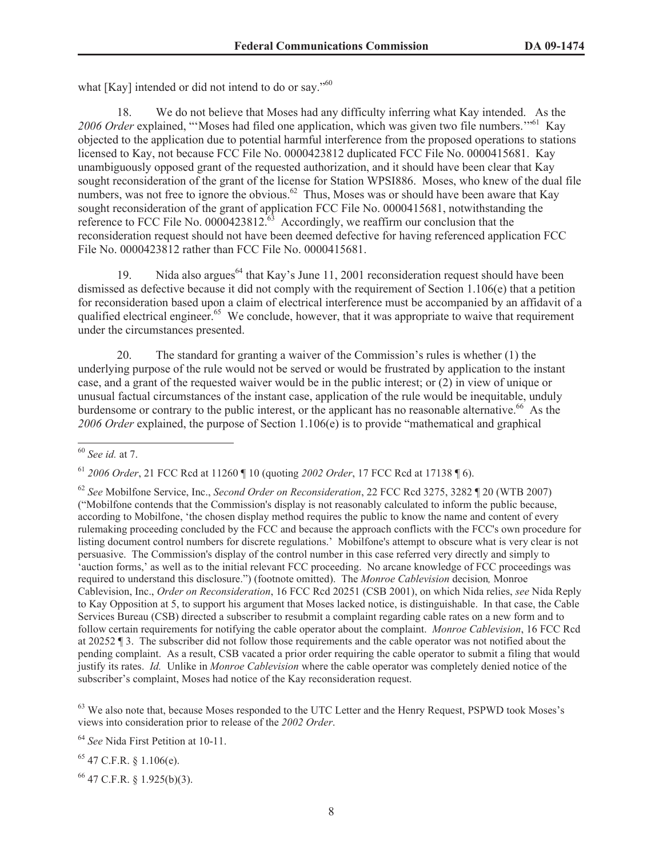what [Kay] intended or did not intend to do or say."<sup>60</sup>

18. We do not believe that Moses had any difficulty inferring what Kay intended. As the 2006 Order explained, "'Moses had filed one application, which was given two file numbers.<sup>"61</sup> Kay objected to the application due to potential harmful interference from the proposed operations to stations licensed to Kay, not because FCC File No. 0000423812 duplicated FCC File No. 0000415681. Kay unambiguously opposed grant of the requested authorization, and it should have been clear that Kay sought reconsideration of the grant of the license for Station WPSI886. Moses, who knew of the dual file numbers, was not free to ignore the obvious.<sup>62</sup> Thus, Moses was or should have been aware that Kay sought reconsideration of the grant of application FCC File No. 0000415681, notwithstanding the reference to FCC File No.  $0000423812.^{63}$  Accordingly, we reaffirm our conclusion that the reconsideration request should not have been deemed defective for having referenced application FCC File No. 0000423812 rather than FCC File No. 0000415681.

19. Nida also argues<sup>64</sup> that Kay's June 11, 2001 reconsideration request should have been dismissed as defective because it did not comply with the requirement of Section 1.106(e) that a petition for reconsideration based upon a claim of electrical interference must be accompanied by an affidavit of a qualified electrical engineer.<sup>65</sup> We conclude, however, that it was appropriate to waive that requirement under the circumstances presented.

20. The standard for granting a waiver of the Commission's rules is whether (1) the underlying purpose of the rule would not be served or would be frustrated by application to the instant case, and a grant of the requested waiver would be in the public interest; or (2) in view of unique or unusual factual circumstances of the instant case, application of the rule would be inequitable, unduly burdensome or contrary to the public interest, or the applicant has no reasonable alternative.<sup>66</sup> As the *2006 Order* explained, the purpose of Section 1.106(e) is to provide "mathematical and graphical

<sup>63</sup> We also note that, because Moses responded to the UTC Letter and the Henry Request, PSPWD took Moses's views into consideration prior to release of the *2002 Order*.

<sup>64</sup> *See* Nida First Petition at 10-11.

<sup>65</sup> 47 C.F.R. § 1.106(e).

<sup>66</sup> 47 C.F.R. § 1.925(b)(3).

<sup>60</sup> *See id.* at 7.

<sup>61</sup> *2006 Order*, 21 FCC Rcd at 11260 ¶ 10 (quoting *2002 Order*, 17 FCC Rcd at 17138 ¶ 6).

<sup>62</sup> *See* Mobilfone Service, Inc., *Second Order on Reconsideration*, 22 FCC Rcd 3275, 3282 ¶ 20 (WTB 2007) ("Mobilfone contends that the Commission's display is not reasonably calculated to inform the public because, according to Mobilfone, 'the chosen display method requires the public to know the name and content of every rulemaking proceeding concluded by the FCC and because the approach conflicts with the FCC's own procedure for listing document control numbers for discrete regulations.' Mobilfone's attempt to obscure what is very clear is not persuasive. The Commission's display of the control number in this case referred very directly and simply to 'auction forms,' as well as to the initial relevant FCC proceeding. No arcane knowledge of FCC proceedings was required to understand this disclosure.") (footnote omitted). The *Monroe Cablevision* decision*,* Monroe Cablevision, Inc., *Order on Reconsideration*, 16 FCC Rcd 20251 (CSB 2001), on which Nida relies, *see* Nida Reply to Kay Opposition at 5, to support his argument that Moses lacked notice, is distinguishable. In that case, the Cable Services Bureau (CSB) directed a subscriber to resubmit a complaint regarding cable rates on a new form and to follow certain requirements for notifying the cable operator about the complaint. *Monroe Cablevision*, 16 FCC Rcd at 20252 ¶ 3. The subscriber did not follow those requirements and the cable operator was not notified about the pending complaint. As a result, CSB vacated a prior order requiring the cable operator to submit a filing that would justify its rates. *Id.* Unlike in *Monroe Cablevision* where the cable operator was completely denied notice of the subscriber's complaint, Moses had notice of the Kay reconsideration request.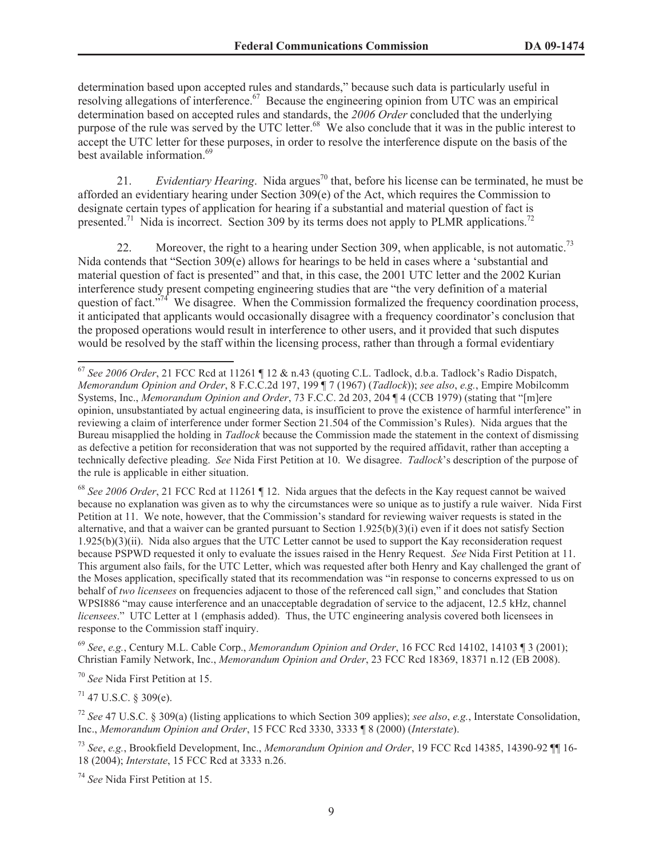determination based upon accepted rules and standards," because such data is particularly useful in resolving allegations of interference.<sup>67</sup> Because the engineering opinion from UTC was an empirical determination based on accepted rules and standards, the *2006 Order* concluded that the underlying purpose of the rule was served by the UTC letter.<sup>68</sup> We also conclude that it was in the public interest to accept the UTC letter for these purposes, in order to resolve the interference dispute on the basis of the best available information.<sup>69</sup>

21. *Evidentiary Hearing*. Nida argues<sup>70</sup> that, before his license can be terminated, he must be afforded an evidentiary hearing under Section 309(e) of the Act, which requires the Commission to designate certain types of application for hearing if a substantial and material question of fact is presented.<sup>71</sup> Nida is incorrect. Section 309 by its terms does not apply to PLMR applications.<sup>72</sup>

22. Moreover, the right to a hearing under Section 309, when applicable, is not automatic.<sup>73</sup> Nida contends that "Section 309(e) allows for hearings to be held in cases where a 'substantial and material question of fact is presented" and that, in this case, the 2001 UTC letter and the 2002 Kurian interference study present competing engineering studies that are "the very definition of a material question of fact."<sup>74</sup> We disagree. When the Commission formalized the frequency coordination process, it anticipated that applicants would occasionally disagree with a frequency coordinator's conclusion that the proposed operations would result in interference to other users, and it provided that such disputes would be resolved by the staff within the licensing process, rather than through a formal evidentiary

<sup>68</sup> *See 2006 Order*, 21 FCC Rcd at 11261 ¶ 12. Nida argues that the defects in the Kay request cannot be waived because no explanation was given as to why the circumstances were so unique as to justify a rule waiver. Nida First Petition at 11. We note, however, that the Commission's standard for reviewing waiver requests is stated in the alternative, and that a waiver can be granted pursuant to Section  $1.925(b)(3)(i)$  even if it does not satisfy Section 1.925(b)(3)(ii). Nida also argues that the UTC Letter cannot be used to support the Kay reconsideration request because PSPWD requested it only to evaluate the issues raised in the Henry Request. *See* Nida First Petition at 11. This argument also fails, for the UTC Letter, which was requested after both Henry and Kay challenged the grant of the Moses application, specifically stated that its recommendation was "in response to concerns expressed to us on behalf of *two licensees* on frequencies adjacent to those of the referenced call sign," and concludes that Station WPSI886 "may cause interference and an unacceptable degradation of service to the adjacent, 12.5 kHz, channel *licensees*." UTC Letter at 1 (emphasis added). Thus, the UTC engineering analysis covered both licensees in response to the Commission staff inquiry.

<sup>69</sup> *See*, *e.g.*, Century M.L. Cable Corp., *Memorandum Opinion and Order*, 16 FCC Rcd 14102, 14103 ¶ 3 (2001); Christian Family Network, Inc., *Memorandum Opinion and Order*, 23 FCC Rcd 18369, 18371 n.12 (EB 2008).

<sup>70</sup> *See* Nida First Petition at 15.

 $71$  47 U.S.C. § 309(e).

<sup>72</sup> *See* 47 U.S.C. § 309(a) (listing applications to which Section 309 applies); *see also*, *e.g.*, Interstate Consolidation, Inc., *Memorandum Opinion and Order*, 15 FCC Rcd 3330, 3333 ¶ 8 (2000) (*Interstate*).

<sup>73</sup> *See*, *e.g.*, Brookfield Development, Inc., *Memorandum Opinion and Order*, 19 FCC Rcd 14385, 14390-92 ¶¶ 16- 18 (2004); *Interstate*, 15 FCC Rcd at 3333 n.26.

<sup>74</sup> *See* Nida First Petition at 15.

<sup>67</sup> *See 2006 Order*, 21 FCC Rcd at 11261 ¶ 12 & n.43 (quoting C.L. Tadlock, d.b.a. Tadlock's Radio Dispatch, *Memorandum Opinion and Order*, 8 F.C.C.2d 197, 199 ¶ 7 (1967) (*Tadlock*)); *see also*, *e.g.*, Empire Mobilcomm Systems, Inc., *Memorandum Opinion and Order*, 73 F.C.C. 2d 203, 204 ¶ 4 (CCB 1979) (stating that "[m]ere opinion, unsubstantiated by actual engineering data, is insufficient to prove the existence of harmful interference" in reviewing a claim of interference under former Section 21.504 of the Commission's Rules). Nida argues that the Bureau misapplied the holding in *Tadlock* because the Commission made the statement in the context of dismissing as defective a petition for reconsideration that was not supported by the required affidavit, rather than accepting a technically defective pleading. *See* Nida First Petition at 10. We disagree. *Tadlock*'s description of the purpose of the rule is applicable in either situation.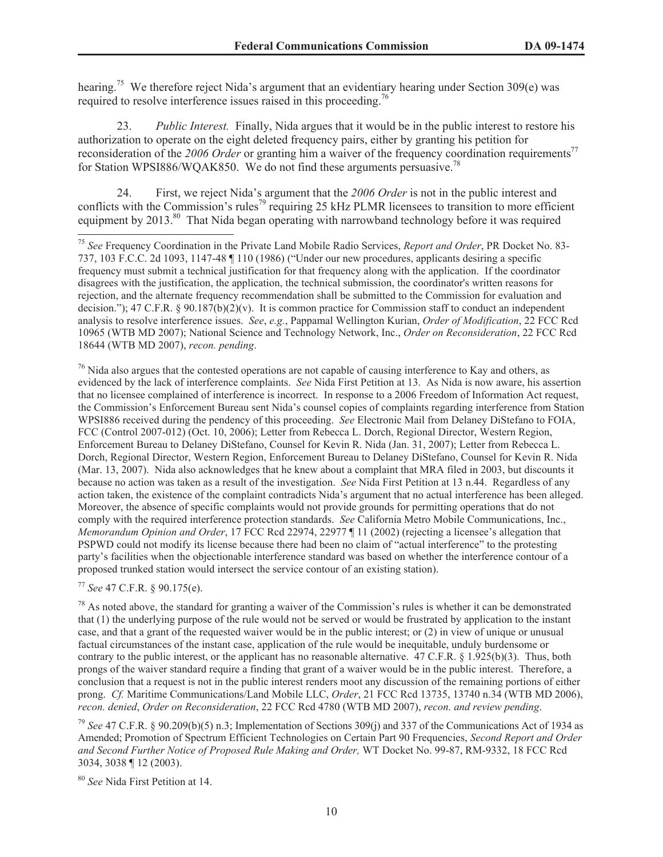hearing.<sup>75</sup> We therefore reject Nida's argument that an evidentiary hearing under Section 309(e) was required to resolve interference issues raised in this proceeding.<sup>76</sup>

23. *Public Interest.* Finally, Nida argues that it would be in the public interest to restore his authorization to operate on the eight deleted frequency pairs, either by granting his petition for reconsideration of the 2006 Order or granting him a waiver of the frequency coordination requirements<sup>77</sup> for Station WPSI886/WQAK850. We do not find these arguments persuasive.<sup>78</sup>

24. First, we reject Nida's argument that the *2006 Order* is not in the public interest and conflicts with the Commission's rules<sup>79</sup> requiring 25 kHz PLMR licensees to transition to more efficient equipment by 2013.<sup>80</sup> That Nida began operating with narrowband technology before it was required

 $76$  Nida also argues that the contested operations are not capable of causing interference to Kay and others, as evidenced by the lack of interference complaints. *See* Nida First Petition at 13. As Nida is now aware, his assertion that no licensee complained of interference is incorrect. In response to a 2006 Freedom of Information Act request, the Commission's Enforcement Bureau sent Nida's counsel copies of complaints regarding interference from Station WPSI886 received during the pendency of this proceeding. *See* Electronic Mail from Delaney DiStefano to FOIA, FCC (Control 2007-012) (Oct. 10, 2006); Letter from Rebecca L. Dorch, Regional Director, Western Region, Enforcement Bureau to Delaney DiStefano, Counsel for Kevin R. Nida (Jan. 31, 2007); Letter from Rebecca L. Dorch, Regional Director, Western Region, Enforcement Bureau to Delaney DiStefano, Counsel for Kevin R. Nida (Mar. 13, 2007). Nida also acknowledges that he knew about a complaint that MRA filed in 2003, but discounts it because no action was taken as a result of the investigation. *See* Nida First Petition at 13 n.44. Regardless of any action taken, the existence of the complaint contradicts Nida's argument that no actual interference has been alleged. Moreover, the absence of specific complaints would not provide grounds for permitting operations that do not comply with the required interference protection standards. *See* California Metro Mobile Communications, Inc., *Memorandum Opinion and Order*, 17 FCC Rcd 22974, 22977 ¶ 11 (2002) (rejecting a licensee's allegation that PSPWD could not modify its license because there had been no claim of "actual interference" to the protesting party's facilities when the objectionable interference standard was based on whether the interference contour of a proposed trunked station would intersect the service contour of an existing station).

<sup>77</sup> *See* 47 C.F.R. § 90.175(e).

 $78$  As noted above, the standard for granting a waiver of the Commission's rules is whether it can be demonstrated that (1) the underlying purpose of the rule would not be served or would be frustrated by application to the instant case, and that a grant of the requested waiver would be in the public interest; or (2) in view of unique or unusual factual circumstances of the instant case, application of the rule would be inequitable, unduly burdensome or contrary to the public interest, or the applicant has no reasonable alternative. 47 C.F.R. § 1.925(b)(3). Thus, both prongs of the waiver standard require a finding that grant of a waiver would be in the public interest. Therefore, a conclusion that a request is not in the public interest renders moot any discussion of the remaining portions of either prong. *Cf.* Maritime Communications/Land Mobile LLC, *Order*, 21 FCC Rcd 13735, 13740 n.34 (WTB MD 2006), *recon. denied*, *Order on Reconsideration*, 22 FCC Rcd 4780 (WTB MD 2007), *recon. and review pending*.

<sup>79</sup> *See* 47 C.F.R. § 90.209(b)(5) n.3; Implementation of Sections 309(j) and 337 of the Communications Act of 1934 as Amended; Promotion of Spectrum Efficient Technologies on Certain Part 90 Frequencies, *Second Report and Order and Second Further Notice of Proposed Rule Making and Order,* WT Docket No. 99-87, RM-9332, 18 FCC Rcd 3034, 3038 ¶ 12 (2003).

<sup>80</sup> *See* Nida First Petition at 14.

<sup>75</sup> *See* Frequency Coordination in the Private Land Mobile Radio Services, *Report and Order*, PR Docket No. 83- 737, 103 F.C.C. 2d 1093, 1147-48 ¶ 110 (1986) ("Under our new procedures, applicants desiring a specific frequency must submit a technical justification for that frequency along with the application. If the coordinator disagrees with the justification, the application, the technical submission, the coordinator's written reasons for rejection, and the alternate frequency recommendation shall be submitted to the Commission for evaluation and decision."); 47 C.F.R. § 90.187(b)(2)(v). It is common practice for Commission staff to conduct an independent analysis to resolve interference issues. *See*, *e.g.*, Pappamal Wellington Kurian, *Order of Modification*, 22 FCC Rcd 10965 (WTB MD 2007); National Science and Technology Network, Inc., *Order on Reconsideration*, 22 FCC Rcd 18644 (WTB MD 2007), *recon. pending*.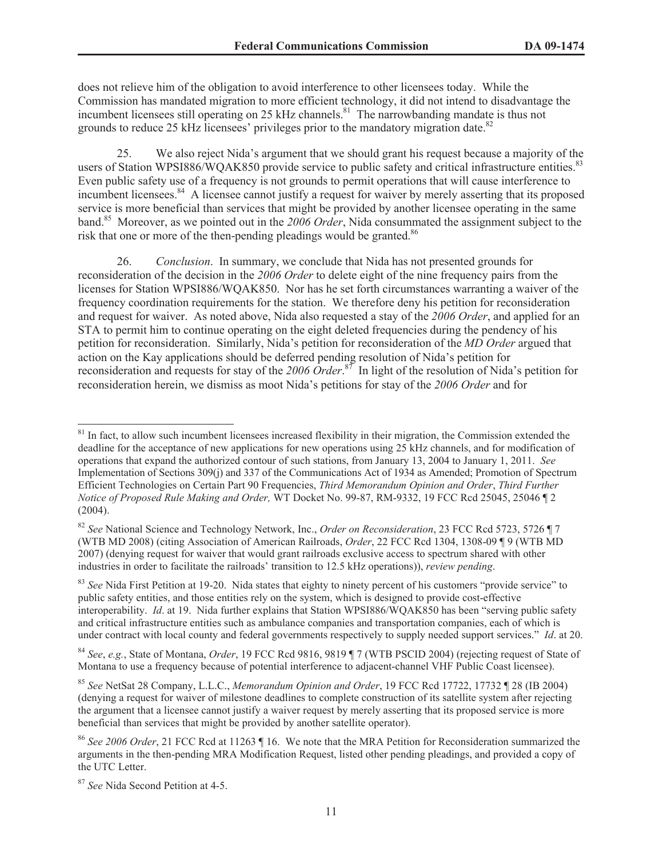does not relieve him of the obligation to avoid interference to other licensees today. While the Commission has mandated migration to more efficient technology, it did not intend to disadvantage the incumbent licensees still operating on 25 kHz channels.<sup>81</sup> The narrowbanding mandate is thus not grounds to reduce 25 kHz licensees' privileges prior to the mandatory migration date.<sup>82</sup>

25. We also reject Nida's argument that we should grant his request because a majority of the users of Station WPSI886/WQAK850 provide service to public safety and critical infrastructure entities.<sup>83</sup> Even public safety use of a frequency is not grounds to permit operations that will cause interference to incumbent licensees.<sup>84</sup> A licensee cannot justify a request for waiver by merely asserting that its proposed service is more beneficial than services that might be provided by another licensee operating in the same band.<sup>85</sup> Moreover, as we pointed out in the *2006 Order*, Nida consummated the assignment subject to the risk that one or more of the then-pending pleadings would be granted.<sup>86</sup>

26. *Conclusion*. In summary, we conclude that Nida has not presented grounds for reconsideration of the decision in the *2006 Order* to delete eight of the nine frequency pairs from the licenses for Station WPSI886/WQAK850. Nor has he set forth circumstances warranting a waiver of the frequency coordination requirements for the station. We therefore deny his petition for reconsideration and request for waiver. As noted above, Nida also requested a stay of the *2006 Order*, and applied for an STA to permit him to continue operating on the eight deleted frequencies during the pendency of his petition for reconsideration. Similarly, Nida's petition for reconsideration of the *MD Order* argued that action on the Kay applications should be deferred pending resolution of Nida's petition for reconsideration and requests for stay of the *2006 Order*. <sup>87</sup> In light of the resolution of Nida's petition for reconsideration herein, we dismiss as moot Nida's petitions for stay of the *2006 Order* and for

<sup>87</sup> *See* Nida Second Petition at 4-5.

<sup>&</sup>lt;sup>81</sup> In fact, to allow such incumbent licensees increased flexibility in their migration, the Commission extended the deadline for the acceptance of new applications for new operations using 25 kHz channels, and for modification of operations that expand the authorized contour of such stations, from January 13, 2004 to January 1, 2011. *See* Implementation of Sections 309(j) and 337 of the Communications Act of 1934 as Amended; Promotion of Spectrum Efficient Technologies on Certain Part 90 Frequencies, *Third Memorandum Opinion and Order*, *Third Further Notice of Proposed Rule Making and Order,* WT Docket No. 99-87, RM-9332, 19 FCC Rcd 25045, 25046 ¶ 2 (2004).

<sup>82</sup> *See* National Science and Technology Network, Inc., *Order on Reconsideration*, 23 FCC Rcd 5723, 5726 ¶ 7 (WTB MD 2008) (citing Association of American Railroads, *Order*, 22 FCC Rcd 1304, 1308-09 ¶ 9 (WTB MD 2007) (denying request for waiver that would grant railroads exclusive access to spectrum shared with other industries in order to facilitate the railroads' transition to 12.5 kHz operations)), *review pending*.

<sup>&</sup>lt;sup>83</sup> See Nida First Petition at 19-20. Nida states that eighty to ninety percent of his customers "provide service" to public safety entities, and those entities rely on the system, which is designed to provide cost-effective interoperability. *Id*. at 19. Nida further explains that Station WPSI886/WQAK850 has been "serving public safety and critical infrastructure entities such as ambulance companies and transportation companies, each of which is under contract with local county and federal governments respectively to supply needed support services." *Id*. at 20.

<sup>84</sup> *See*, *e.g.*, State of Montana, *Order*, 19 FCC Rcd 9816, 9819 ¶ 7 (WTB PSCID 2004) (rejecting request of State of Montana to use a frequency because of potential interference to adjacent-channel VHF Public Coast licensee).

<sup>85</sup> *See* NetSat 28 Company, L.L.C., *Memorandum Opinion and Order*, 19 FCC Rcd 17722, 17732 ¶ 28 (IB 2004) (denying a request for waiver of milestone deadlines to complete construction of its satellite system after rejecting the argument that a licensee cannot justify a waiver request by merely asserting that its proposed service is more beneficial than services that might be provided by another satellite operator).

<sup>86</sup> *See 2006 Order*, 21 FCC Rcd at 11263 ¶ 16. We note that the MRA Petition for Reconsideration summarized the arguments in the then-pending MRA Modification Request, listed other pending pleadings, and provided a copy of the UTC Letter.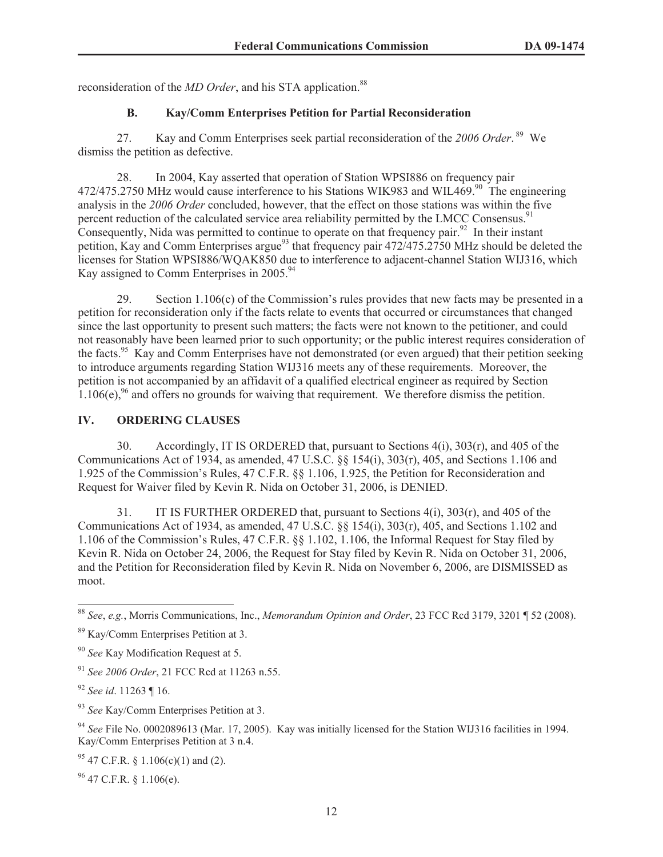reconsideration of the *MD Order*, and his STA application.<sup>88</sup>

# **B. Kay/Comm Enterprises Petition for Partial Reconsideration**

27. Kay and Comm Enterprises seek partial reconsideration of the *2006 Order*. <sup>89</sup> We dismiss the petition as defective.

28. In 2004, Kay asserted that operation of Station WPSI886 on frequency pair  $472/475.2750$  MHz would cause interference to his Stations WIK983 and WIL469.<sup>90</sup> The engineering analysis in the *2006 Order* concluded, however, that the effect on those stations was within the five percent reduction of the calculated service area reliability permitted by the LMCC Consensus.<sup>91</sup> Consequently, Nida was permitted to continue to operate on that frequency pair.<sup>92</sup> In their instant petition, Kay and Comm Enterprises argue<sup>93</sup> that frequency pair  $472/475.2750$  MHz should be deleted the licenses for Station WPSI886/WQAK850 due to interference to adjacent-channel Station WIJ316, which Kay assigned to Comm Enterprises in 2005.<sup>94</sup>

29. Section 1.106(c) of the Commission's rules provides that new facts may be presented in a petition for reconsideration only if the facts relate to events that occurred or circumstances that changed since the last opportunity to present such matters; the facts were not known to the petitioner, and could not reasonably have been learned prior to such opportunity; or the public interest requires consideration of the facts.<sup>95</sup> Kay and Comm Enterprises have not demonstrated (or even argued) that their petition seeking to introduce arguments regarding Station WIJ316 meets any of these requirements. Moreover, the petition is not accompanied by an affidavit of a qualified electrical engineer as required by Section  $1.106(e)^{96}$  and offers no grounds for waiving that requirement. We therefore dismiss the petition.

## **IV. ORDERING CLAUSES**

30. Accordingly, IT IS ORDERED that, pursuant to Sections 4(i), 303(r), and 405 of the Communications Act of 1934, as amended, 47 U.S.C. §§ 154(i), 303(r), 405, and Sections 1.106 and 1.925 of the Commission's Rules, 47 C.F.R. §§ 1.106, 1.925, the Petition for Reconsideration and Request for Waiver filed by Kevin R. Nida on October 31, 2006, is DENIED.

31. IT IS FURTHER ORDERED that, pursuant to Sections 4(i), 303(r), and 405 of the Communications Act of 1934, as amended, 47 U.S.C. §§ 154(i), 303(r), 405, and Sections 1.102 and 1.106 of the Commission's Rules, 47 C.F.R. §§ 1.102, 1.106, the Informal Request for Stay filed by Kevin R. Nida on October 24, 2006, the Request for Stay filed by Kevin R. Nida on October 31, 2006, and the Petition for Reconsideration filed by Kevin R. Nida on November 6, 2006, are DISMISSED as moot.

 $96$  47 C.F.R. § 1.106(e).

<sup>88</sup> *See*, *e.g.*, Morris Communications, Inc., *Memorandum Opinion and Order*, 23 FCC Rcd 3179, 3201 ¶ 52 (2008).

<sup>89</sup> Kay/Comm Enterprises Petition at 3.

<sup>90</sup> *See* Kay Modification Request at 5.

<sup>91</sup> *See 2006 Order*, 21 FCC Rcd at 11263 n.55.

<sup>92</sup> *See id*. 11263 ¶ 16.

<sup>93</sup> *See* Kay/Comm Enterprises Petition at 3.

<sup>94</sup> *See* File No. 0002089613 (Mar. 17, 2005). Kay was initially licensed for the Station WIJ316 facilities in 1994. Kay/Comm Enterprises Petition at 3 n.4.

 $95$  47 C.F.R. § 1.106(c)(1) and (2).